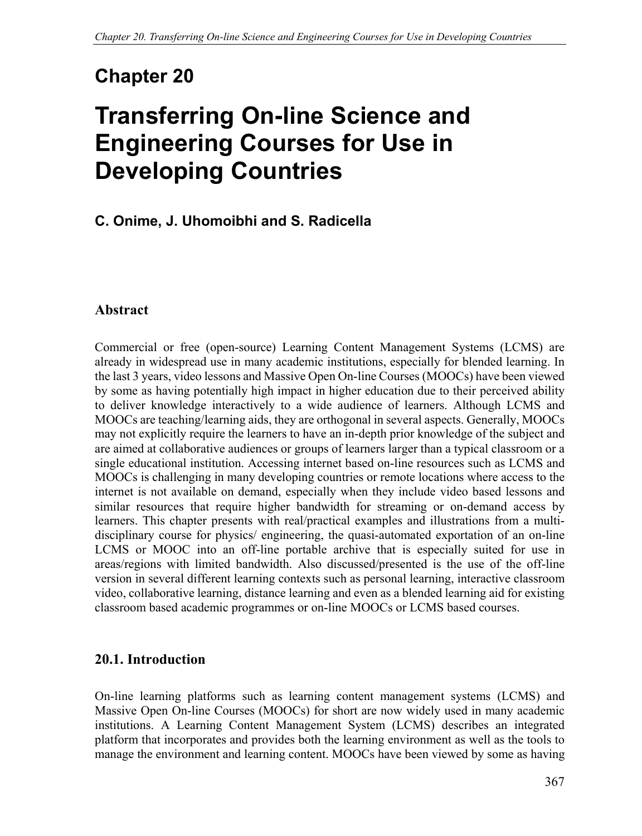# **Chapter 20**

# **Transferring On-line Science and Engineering Courses for Use in Developing Countries**

# **C. Onime, J. Uhomoibhi and S. Radicella**

### **Abstract**

Commercial or free (open-source) Learning Content Management Systems (LCMS) are already in widespread use in many academic institutions, especially for blended learning. In the last 3 years, video lessons and Massive Open On-line Courses (MOOCs) have been viewed by some as having potentially high impact in higher education due to their perceived ability to deliver knowledge interactively to a wide audience of learners. Although LCMS and MOOCs are teaching/learning aids, they are orthogonal in several aspects. Generally, MOOCs may not explicitly require the learners to have an in-depth prior knowledge of the subject and are aimed at collaborative audiences or groups of learners larger than a typical classroom or a single educational institution. Accessing internet based on-line resources such as LCMS and MOOCs is challenging in many developing countries or remote locations where access to the internet is not available on demand, especially when they include video based lessons and similar resources that require higher bandwidth for streaming or on-demand access by learners. This chapter presents with real/practical examples and illustrations from a multidisciplinary course for physics/ engineering, the quasi-automated exportation of an on-line LCMS or MOOC into an off-line portable archive that is especially suited for use in areas/regions with limited bandwidth. Also discussed/presented is the use of the off-line version in several different learning contexts such as personal learning, interactive classroom video, collaborative learning, distance learning and even as a blended learning aid for existing classroom based academic programmes or on-line MOOCs or LCMS based courses.

### **20.1. Introduction**

On-line learning platforms such as learning content management systems (LCMS) and Massive Open On-line Courses (MOOCs) for short are now widely used in many academic institutions. A Learning Content Management System (LCMS) describes an integrated platform that incorporates and provides both the learning environment as well as the tools to manage the environment and learning content. MOOCs have been viewed by some as having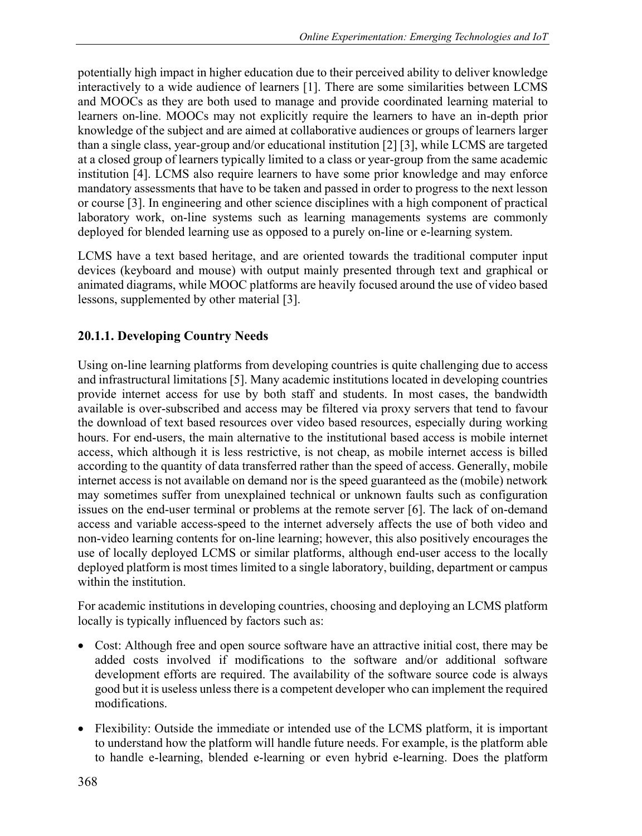potentially high impact in higher education due to their perceived ability to deliver knowledge interactively to a wide audience of learners [1]. There are some similarities between LCMS and MOOCs as they are both used to manage and provide coordinated learning material to learners on-line. MOOCs may not explicitly require the learners to have an in-depth prior knowledge of the subject and are aimed at collaborative audiences or groups of learners larger than a single class, year-group and/or educational institution [2] [3], while LCMS are targeted at a closed group of learners typically limited to a class or year-group from the same academic institution [4]. LCMS also require learners to have some prior knowledge and may enforce mandatory assessments that have to be taken and passed in order to progress to the next lesson or course [3]. In engineering and other science disciplines with a high component of practical laboratory work, on-line systems such as learning managements systems are commonly deployed for blended learning use as opposed to a purely on-line or e-learning system.

LCMS have a text based heritage, and are oriented towards the traditional computer input devices (keyboard and mouse) with output mainly presented through text and graphical or animated diagrams, while MOOC platforms are heavily focused around the use of video based lessons, supplemented by other material [3].

### **20.1.1. Developing Country Needs**

Using on-line learning platforms from developing countries is quite challenging due to access and infrastructural limitations [5]. Many academic institutions located in developing countries provide internet access for use by both staff and students. In most cases, the bandwidth available is over-subscribed and access may be filtered via proxy servers that tend to favour the download of text based resources over video based resources, especially during working hours. For end-users, the main alternative to the institutional based access is mobile internet access, which although it is less restrictive, is not cheap, as mobile internet access is billed according to the quantity of data transferred rather than the speed of access. Generally, mobile internet access is not available on demand nor is the speed guaranteed as the (mobile) network may sometimes suffer from unexplained technical or unknown faults such as configuration issues on the end-user terminal or problems at the remote server [6]. The lack of on-demand access and variable access-speed to the internet adversely affects the use of both video and non-video learning contents for on-line learning; however, this also positively encourages the use of locally deployed LCMS or similar platforms, although end-user access to the locally deployed platform is most times limited to a single laboratory, building, department or campus within the institution.

For academic institutions in developing countries, choosing and deploying an LCMS platform locally is typically influenced by factors such as:

- Cost: Although free and open source software have an attractive initial cost, there may be added costs involved if modifications to the software and/or additional software development efforts are required. The availability of the software source code is always good but it is useless unless there is a competent developer who can implement the required modifications.
- Flexibility: Outside the immediate or intended use of the LCMS platform, it is important to understand how the platform will handle future needs. For example, is the platform able to handle e-learning, blended e-learning or even hybrid e-learning. Does the platform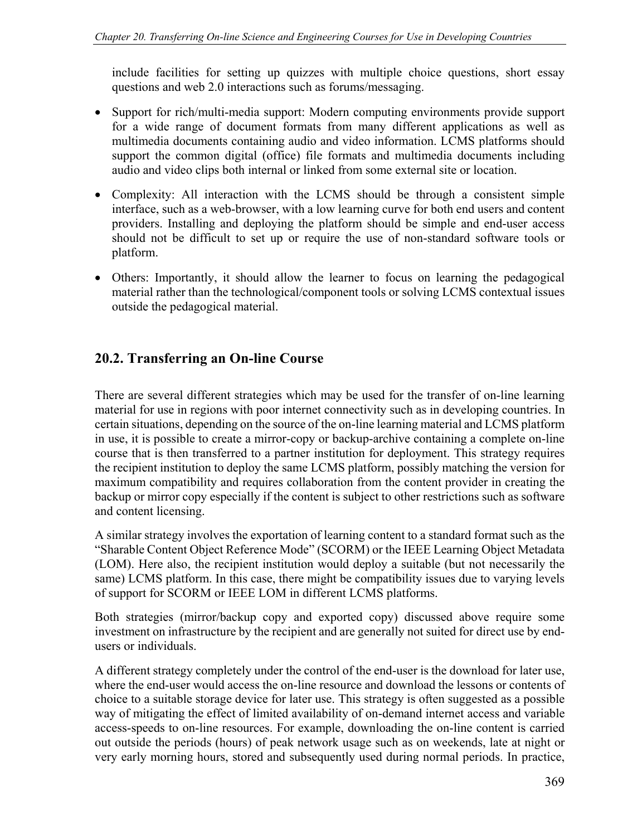include facilities for setting up quizzes with multiple choice questions, short essay questions and web 2.0 interactions such as forums/messaging.

- Support for rich/multi-media support: Modern computing environments provide support for a wide range of document formats from many different applications as well as multimedia documents containing audio and video information. LCMS platforms should support the common digital (office) file formats and multimedia documents including audio and video clips both internal or linked from some external site or location.
- Complexity: All interaction with the LCMS should be through a consistent simple interface, such as a web-browser, with a low learning curve for both end users and content providers. Installing and deploying the platform should be simple and end-user access should not be difficult to set up or require the use of non-standard software tools or platform.
- Others: Importantly, it should allow the learner to focus on learning the pedagogical material rather than the technological/component tools or solving LCMS contextual issues outside the pedagogical material.

# **20.2. Transferring an On-line Course**

There are several different strategies which may be used for the transfer of on-line learning material for use in regions with poor internet connectivity such as in developing countries. In certain situations, depending on the source of the on-line learning material and LCMS platform in use, it is possible to create a mirror-copy or backup-archive containing a complete on-line course that is then transferred to a partner institution for deployment. This strategy requires the recipient institution to deploy the same LCMS platform, possibly matching the version for maximum compatibility and requires collaboration from the content provider in creating the backup or mirror copy especially if the content is subject to other restrictions such as software and content licensing.

A similar strategy involves the exportation of learning content to a standard format such as the "Sharable Content Object Reference Mode" (SCORM) or the IEEE Learning Object Metadata (LOM). Here also, the recipient institution would deploy a suitable (but not necessarily the same) LCMS platform. In this case, there might be compatibility issues due to varying levels of support for SCORM or IEEE LOM in different LCMS platforms.

Both strategies (mirror/backup copy and exported copy) discussed above require some investment on infrastructure by the recipient and are generally not suited for direct use by endusers or individuals.

A different strategy completely under the control of the end-user is the download for later use, where the end-user would access the on-line resource and download the lessons or contents of choice to a suitable storage device for later use. This strategy is often suggested as a possible way of mitigating the effect of limited availability of on-demand internet access and variable access-speeds to on-line resources. For example, downloading the on-line content is carried out outside the periods (hours) of peak network usage such as on weekends, late at night or very early morning hours, stored and subsequently used during normal periods. In practice,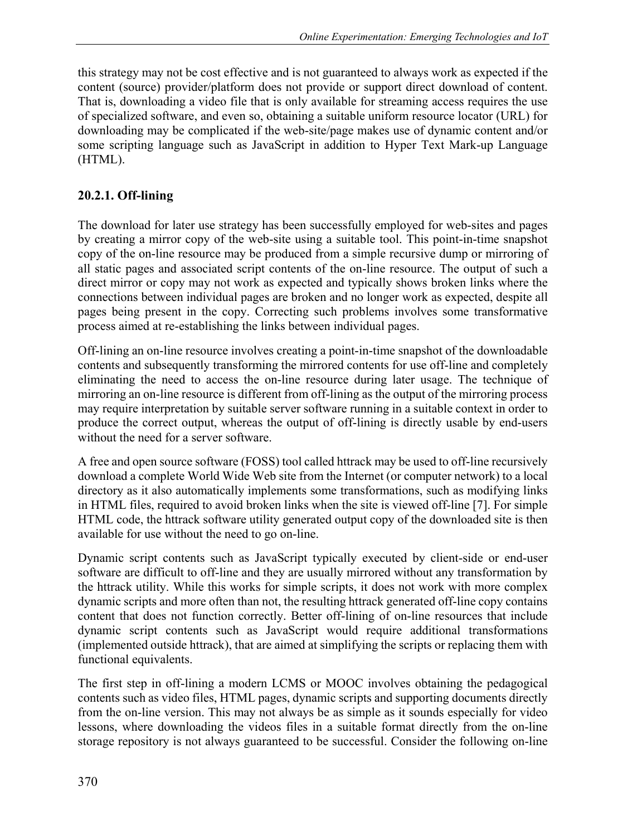this strategy may not be cost effective and is not guaranteed to always work as expected if the content (source) provider/platform does not provide or support direct download of content. That is, downloading a video file that is only available for streaming access requires the use of specialized software, and even so, obtaining a suitable uniform resource locator (URL) for downloading may be complicated if the web-site/page makes use of dynamic content and/or some scripting language such as JavaScript in addition to Hyper Text Mark-up Language (HTML).

## **20.2.1. Off-lining**

The download for later use strategy has been successfully employed for web-sites and pages by creating a mirror copy of the web-site using a suitable tool. This point-in-time snapshot copy of the on-line resource may be produced from a simple recursive dump or mirroring of all static pages and associated script contents of the on-line resource. The output of such a direct mirror or copy may not work as expected and typically shows broken links where the connections between individual pages are broken and no longer work as expected, despite all pages being present in the copy. Correcting such problems involves some transformative process aimed at re-establishing the links between individual pages.

Off-lining an on-line resource involves creating a point-in-time snapshot of the downloadable contents and subsequently transforming the mirrored contents for use off-line and completely eliminating the need to access the on-line resource during later usage. The technique of mirroring an on-line resource is different from off-lining as the output of the mirroring process may require interpretation by suitable server software running in a suitable context in order to produce the correct output, whereas the output of off-lining is directly usable by end-users without the need for a server software.

A free and open source software (FOSS) tool called httrack may be used to off-line recursively download a complete World Wide Web site from the Internet (or computer network) to a local directory as it also automatically implements some transformations, such as modifying links in HTML files, required to avoid broken links when the site is viewed off-line [7]. For simple HTML code, the httrack software utility generated output copy of the downloaded site is then available for use without the need to go on-line.

Dynamic script contents such as JavaScript typically executed by client-side or end-user software are difficult to off-line and they are usually mirrored without any transformation by the httrack utility. While this works for simple scripts, it does not work with more complex dynamic scripts and more often than not, the resulting httrack generated off-line copy contains content that does not function correctly. Better off-lining of on-line resources that include dynamic script contents such as JavaScript would require additional transformations (implemented outside httrack), that are aimed at simplifying the scripts or replacing them with functional equivalents.

The first step in off-lining a modern LCMS or MOOC involves obtaining the pedagogical contents such as video files, HTML pages, dynamic scripts and supporting documents directly from the on-line version. This may not always be as simple as it sounds especially for video lessons, where downloading the videos files in a suitable format directly from the on-line storage repository is not always guaranteed to be successful. Consider the following on-line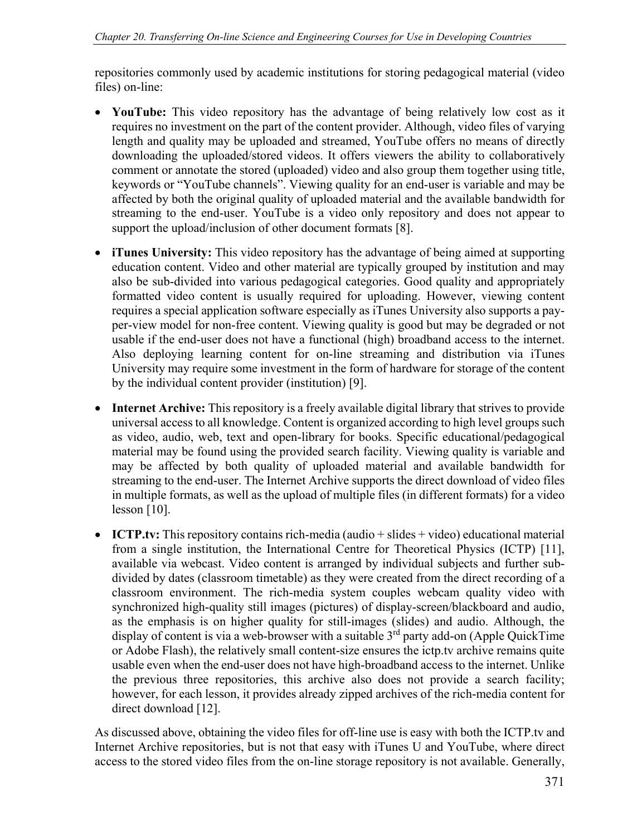repositories commonly used by academic institutions for storing pedagogical material (video files) on-line:

- **YouTube:** This video repository has the advantage of being relatively low cost as it requires no investment on the part of the content provider. Although, video files of varying length and quality may be uploaded and streamed, YouTube offers no means of directly downloading the uploaded/stored videos. It offers viewers the ability to collaboratively comment or annotate the stored (uploaded) video and also group them together using title, keywords or "YouTube channels". Viewing quality for an end-user is variable and may be affected by both the original quality of uploaded material and the available bandwidth for streaming to the end-user. YouTube is a video only repository and does not appear to support the upload/inclusion of other document formats [8].
- **iTunes University:** This video repository has the advantage of being aimed at supporting education content. Video and other material are typically grouped by institution and may also be sub-divided into various pedagogical categories. Good quality and appropriately formatted video content is usually required for uploading. However, viewing content requires a special application software especially as iTunes University also supports a payper-view model for non-free content. Viewing quality is good but may be degraded or not usable if the end-user does not have a functional (high) broadband access to the internet. Also deploying learning content for on-line streaming and distribution via iTunes University may require some investment in the form of hardware for storage of the content by the individual content provider (institution) [9].
- **Internet Archive:** This repository is a freely available digital library that strives to provide universal access to all knowledge. Content is organized according to high level groups such as video, audio, web, text and open-library for books. Specific educational/pedagogical material may be found using the provided search facility. Viewing quality is variable and may be affected by both quality of uploaded material and available bandwidth for streaming to the end-user. The Internet Archive supports the direct download of video files in multiple formats, as well as the upload of multiple files (in different formats) for a video lesson [10].
- **ICTP.tv:** This repository contains rich-media (audio + slides + video) educational material from a single institution, the International Centre for Theoretical Physics (ICTP) [11], available via webcast. Video content is arranged by individual subjects and further subdivided by dates (classroom timetable) as they were created from the direct recording of a classroom environment. The rich-media system couples webcam quality video with synchronized high-quality still images (pictures) of display-screen/blackboard and audio, as the emphasis is on higher quality for still-images (slides) and audio. Although, the display of content is via a web-browser with a suitable  $3<sup>rd</sup>$  party add-on (Apple QuickTime or Adobe Flash), the relatively small content-size ensures the ictp.tv archive remains quite usable even when the end-user does not have high-broadband access to the internet. Unlike the previous three repositories, this archive also does not provide a search facility; however, for each lesson, it provides already zipped archives of the rich-media content for direct download [12].

As discussed above, obtaining the video files for off-line use is easy with both the ICTP.tv and Internet Archive repositories, but is not that easy with iTunes U and YouTube, where direct access to the stored video files from the on-line storage repository is not available. Generally,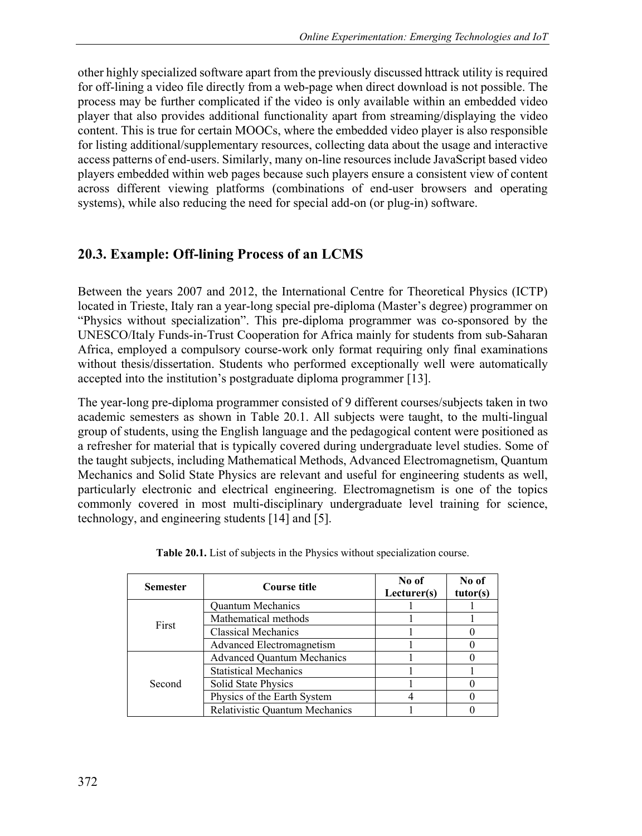other highly specialized software apart from the previously discussed httrack utility is required for off-lining a video file directly from a web-page when direct download is not possible. The process may be further complicated if the video is only available within an embedded video player that also provides additional functionality apart from streaming/displaying the video content. This is true for certain MOOCs, where the embedded video player is also responsible for listing additional/supplementary resources, collecting data about the usage and interactive access patterns of end-users. Similarly, many on-line resources include JavaScript based video players embedded within web pages because such players ensure a consistent view of content across different viewing platforms (combinations of end-user browsers and operating systems), while also reducing the need for special add-on (or plug-in) software.

# **20.3. Example: Off-lining Process of an LCMS**

Between the years 2007 and 2012, the International Centre for Theoretical Physics (ICTP) located in Trieste, Italy ran a year-long special pre-diploma (Master's degree) programmer on "Physics without specialization". This pre-diploma programmer was co-sponsored by the UNESCO/Italy Funds-in-Trust Cooperation for Africa mainly for students from sub-Saharan Africa, employed a compulsory course-work only format requiring only final examinations without thesis/dissertation. Students who performed exceptionally well were automatically accepted into the institution's postgraduate diploma programmer [13].

The year-long pre-diploma programmer consisted of 9 different courses/subjects taken in two academic semesters as shown in Table 20.1. All subjects were taught, to the multi-lingual group of students, using the English language and the pedagogical content were positioned as a refresher for material that is typically covered during undergraduate level studies. Some of the taught subjects, including Mathematical Methods, Advanced Electromagnetism, Quantum Mechanics and Solid State Physics are relevant and useful for engineering students as well, particularly electronic and electrical engineering. Electromagnetism is one of the topics commonly covered in most multi-disciplinary undergraduate level training for science, technology, and engineering students [14] and [5].

| <b>Semester</b> | Course title                      | No of<br>Lecturer(s) | No of<br>tutor(s) |
|-----------------|-----------------------------------|----------------------|-------------------|
| First           | <b>Ouantum Mechanics</b>          |                      |                   |
|                 | Mathematical methods              |                      |                   |
|                 | <b>Classical Mechanics</b>        |                      |                   |
|                 | Advanced Electromagnetism         |                      |                   |
| Second          | <b>Advanced Quantum Mechanics</b> |                      |                   |
|                 | <b>Statistical Mechanics</b>      |                      |                   |
|                 | <b>Solid State Physics</b>        |                      |                   |
|                 | Physics of the Earth System       |                      |                   |
|                 | Relativistic Quantum Mechanics    |                      |                   |

|  |  |  |  | Table 20.1. List of subjects in the Physics without specialization course. |  |
|--|--|--|--|----------------------------------------------------------------------------|--|
|  |  |  |  |                                                                            |  |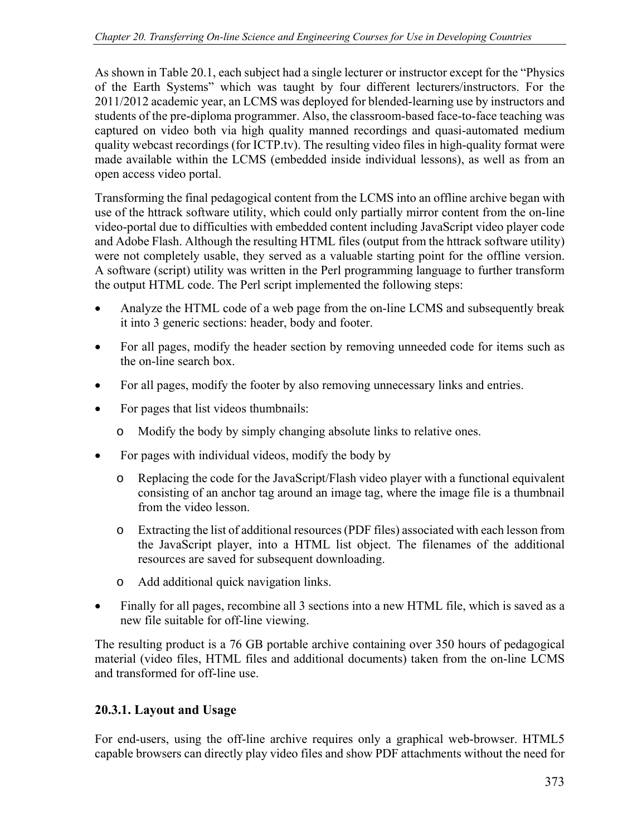As shown in Table 20.1, each subject had a single lecturer or instructor except for the "Physics of the Earth Systems" which was taught by four different lecturers/instructors. For the 2011/2012 academic year, an LCMS was deployed for blended-learning use by instructors and students of the pre-diploma programmer. Also, the classroom-based face-to-face teaching was captured on video both via high quality manned recordings and quasi-automated medium quality webcast recordings (for ICTP.tv). The resulting video files in high-quality format were made available within the LCMS (embedded inside individual lessons), as well as from an open access video portal.

Transforming the final pedagogical content from the LCMS into an offline archive began with use of the httrack software utility, which could only partially mirror content from the on-line video-portal due to difficulties with embedded content including JavaScript video player code and Adobe Flash. Although the resulting HTML files (output from the httrack software utility) were not completely usable, they served as a valuable starting point for the offline version. A software (script) utility was written in the Perl programming language to further transform the output HTML code. The Perl script implemented the following steps:

- Analyze the HTML code of a web page from the on-line LCMS and subsequently break it into 3 generic sections: header, body and footer.
- For all pages, modify the header section by removing unneeded code for items such as the on-line search box.
- For all pages, modify the footer by also removing unnecessary links and entries.
- For pages that list videos thumbnails:
	- o Modify the body by simply changing absolute links to relative ones.
- For pages with individual videos, modify the body by
	- o Replacing the code for the JavaScript/Flash video player with a functional equivalent consisting of an anchor tag around an image tag, where the image file is a thumbnail from the video lesson.
	- o Extracting the list of additional resources (PDF files) associated with each lesson from the JavaScript player, into a HTML list object. The filenames of the additional resources are saved for subsequent downloading.
	- o Add additional quick navigation links.
- Finally for all pages, recombine all 3 sections into a new HTML file, which is saved as a new file suitable for off-line viewing.

The resulting product is a 76 GB portable archive containing over 350 hours of pedagogical material (video files, HTML files and additional documents) taken from the on-line LCMS and transformed for off-line use.

### **20.3.1. Layout and Usage**

For end-users, using the off-line archive requires only a graphical web-browser. HTML5 capable browsers can directly play video files and show PDF attachments without the need for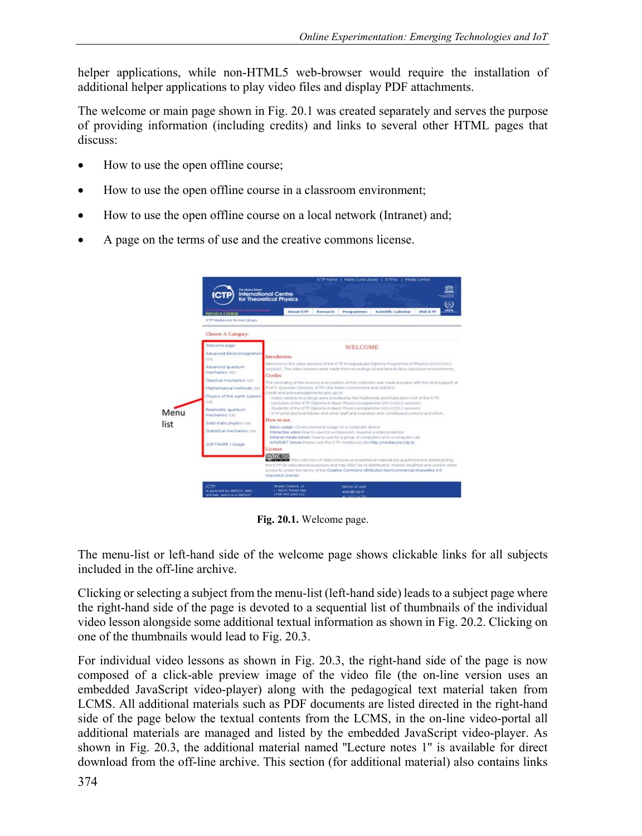helper applications, while non-HTML5 web-browser would require the installation of additional helper applications to play video files and display PDF attachments.

The welcome or main page shown in Fig. 20.1 was created separately and serves the purpose of providing information (including credits) and links to several other HTML pages that discuss:

- How to use the open offline course;
- How to use the open offline course in a classroom environment;
- How to use the open offline course on a local network (Intranet) and;
- A page on the terms of use and the creative commons license.



**Fig. 20.1.** Welcome page.

The menu-list or left-hand side of the welcome page shows clickable links for all subjects included in the off-line archive.

Clicking or selecting a subject from the menu-list (left-hand side) leads to a subject page where the right-hand side of the page is devoted to a sequential list of thumbnails of the individual video lesson alongside some additional textual information as shown in Fig. 20.2. Clicking on one of the thumbnails would lead to Fig. 20.3.

For individual video lessons as shown in Fig. 20.3, the right-hand side of the page is now composed of a click-able preview image of the video file (the on-line version uses an embedded JavaScript video-player) along with the pedagogical text material taken from LCMS. All additional materials such as PDF documents are listed directed in the right-hand side of the page below the textual contents from the LCMS, in the on-line video-portal all additional materials are managed and listed by the embedded JavaScript video-player. As shown in Fig. 20.3, the additional material named ''Lecture notes 1'' is available for direct download from the off-line archive. This section (for additional material) also contains links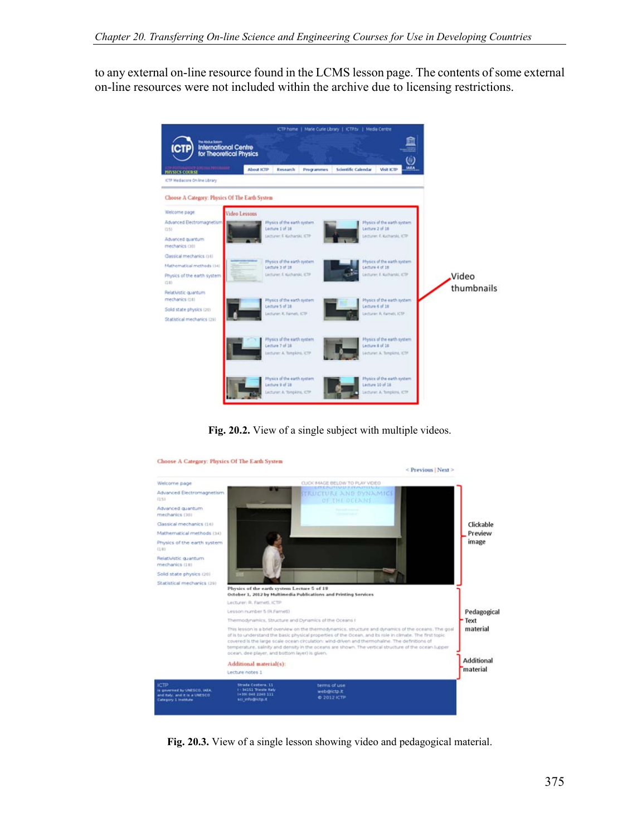to any external on-line resource found in the LCMS lesson page. The contents of some external on-line resources were not included within the archive due to licensing restrictions.



**Fig. 20.2.** View of a single subject with multiple videos.



**Fig. 20.3.** View of a single lesson showing video and pedagogical material.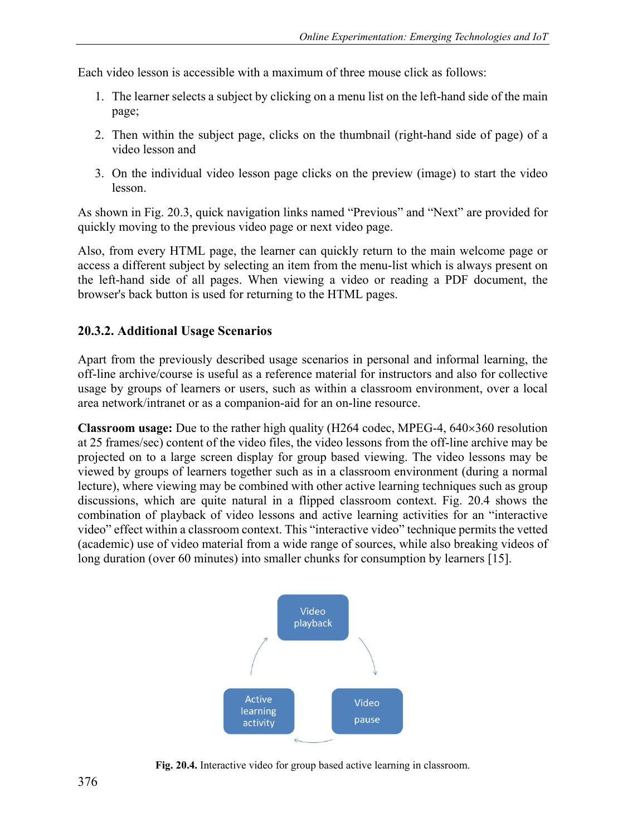Each video lesson is accessible with a maximum of three mouse click as follows:

- 1. The learner selects a subject by clicking on a menu list on the left-hand side of the main page;
- 2. Then within the subject page, clicks on the thumbnail (right-hand side of page) of a video lesson and
- 3. On the individual video lesson page clicks on the preview (image) to start the video lesson.

As shown in Fig. 20.3, quick navigation links named "Previous" and "Next" are provided for quickly moving to the previous video page or next video page.

Also, from every HTML page, the learner can quickly return to the main welcome page or access a different subject by selecting an item from the menu-list which is always present on the left-hand side of all pages. When viewing a video or reading a PDF document, the browser's back button is used for returning to the HTML pages.

### **20.3.2. Additional Usage Scenarios**

Apart from the previously described usage scenarios in personal and informal learning, the off-line archive/course is useful as a reference material for instructors and also for collective usage by groups of learners or users, such as within a classroom environment, over a local area network/intranet or as a companion-aid for an on-line resource.

**Classroom usage:** Due to the rather high quality (H264 codec, MPEG-4, 640×360 resolution at 25 frames/sec) content of the video files, the video lessons from the off-line archive may be projected on to a large screen display for group based viewing. The video lessons may be viewed by groups of learners together such as in a classroom environment (during a normal lecture), where viewing may be combined with other active learning techniques such as group discussions, which are quite natural in a flipped classroom context. Fig. 20.4 shows the combination of playback of video lessons and active learning activities for an "interactive video" effect within a classroom context. This "interactive video" technique permits the vetted (academic) use of video material from a wide range of sources, while also breaking videos of long duration (over 60 minutes) into smaller chunks for consumption by learners [15].



**Fig. 20.4.** Interactive video for group based active learning in classroom.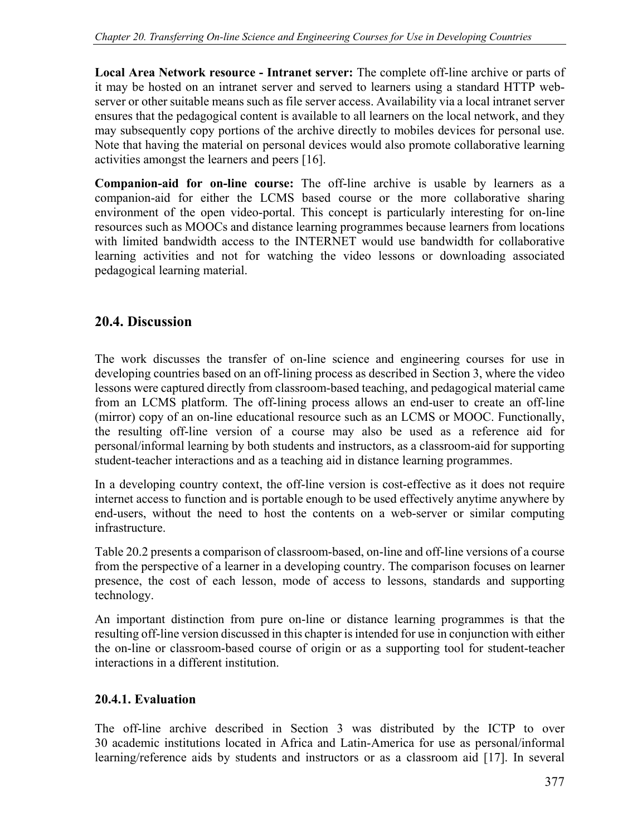**Local Area Network resource - Intranet server:** The complete off-line archive or parts of it may be hosted on an intranet server and served to learners using a standard HTTP webserver or other suitable means such as file server access. Availability via a local intranet server ensures that the pedagogical content is available to all learners on the local network, and they may subsequently copy portions of the archive directly to mobiles devices for personal use. Note that having the material on personal devices would also promote collaborative learning activities amongst the learners and peers [16].

**Companion-aid for on-line course:** The off-line archive is usable by learners as a companion-aid for either the LCMS based course or the more collaborative sharing environment of the open video-portal. This concept is particularly interesting for on-line resources such as MOOCs and distance learning programmes because learners from locations with limited bandwidth access to the INTERNET would use bandwidth for collaborative learning activities and not for watching the video lessons or downloading associated pedagogical learning material.

# **20.4. Discussion**

The work discusses the transfer of on-line science and engineering courses for use in developing countries based on an off-lining process as described in Section 3, where the video lessons were captured directly from classroom-based teaching, and pedagogical material came from an LCMS platform. The off-lining process allows an end-user to create an off-line (mirror) copy of an on-line educational resource such as an LCMS or MOOC. Functionally, the resulting off-line version of a course may also be used as a reference aid for personal/informal learning by both students and instructors, as a classroom-aid for supporting student-teacher interactions and as a teaching aid in distance learning programmes.

In a developing country context, the off-line version is cost-effective as it does not require internet access to function and is portable enough to be used effectively anytime anywhere by end-users, without the need to host the contents on a web-server or similar computing infrastructure.

Table 20.2 presents a comparison of classroom-based, on-line and off-line versions of a course from the perspective of a learner in a developing country. The comparison focuses on learner presence, the cost of each lesson, mode of access to lessons, standards and supporting technology.

An important distinction from pure on-line or distance learning programmes is that the resulting off-line version discussed in this chapter is intended for use in conjunction with either the on-line or classroom-based course of origin or as a supporting tool for student-teacher interactions in a different institution.

### **20.4.1. Evaluation**

The off-line archive described in Section 3 was distributed by the ICTP to over 30 academic institutions located in Africa and Latin-America for use as personal/informal learning/reference aids by students and instructors or as a classroom aid [17]. In several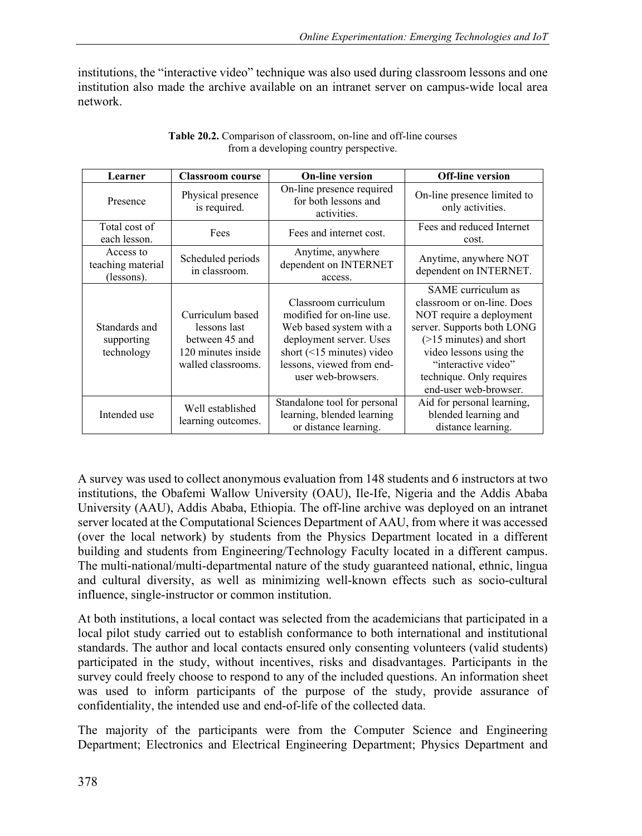institutions, the "interactive video" technique was also used during classroom lessons and one institution also made the archive available on an intranet server on campus-wide local area network.

| Learner                                      | <b>Classroom course</b>                                                                        | <b>On-line version</b>                                                                                                                                                                        | <b>Off-line version</b>                                                                                                                                                                                                                         |
|----------------------------------------------|------------------------------------------------------------------------------------------------|-----------------------------------------------------------------------------------------------------------------------------------------------------------------------------------------------|-------------------------------------------------------------------------------------------------------------------------------------------------------------------------------------------------------------------------------------------------|
| Presence                                     | Physical presence<br>is required.                                                              | On-line presence required<br>for both lessons and<br>activities.                                                                                                                              | On-line presence limited to<br>only activities.                                                                                                                                                                                                 |
| Total cost of<br>each lesson.                | Fees                                                                                           | Fees and internet cost.                                                                                                                                                                       | Fees and reduced Internet<br>cost.                                                                                                                                                                                                              |
| Access to<br>teaching material<br>(lessons). | Scheduled periods<br>in classroom.                                                             | Anytime, anywhere<br>dependent on INTERNET<br>access.                                                                                                                                         | Anytime, anywhere NOT<br>dependent on INTERNET.                                                                                                                                                                                                 |
| Standards and<br>supporting<br>technology    | Curriculum based<br>lessons last<br>between 45 and<br>120 minutes inside<br>walled classrooms. | Classroom curriculum<br>modified for on-line use.<br>Web based system with a<br>deployment server. Uses<br>short $(\leq 15$ minutes) video<br>lessons, viewed from end-<br>user web-browsers. | SAME curriculum as<br>classroom or on-line. Does<br>NOT require a deployment<br>server. Supports both LONG<br>$($ >15 minutes) and short<br>video lessons using the<br>"interactive video"<br>technique. Only requires<br>end-user web-browser. |
| Intended use                                 | Well established<br>learning outcomes.                                                         | Standalone tool for personal<br>learning, blended learning<br>or distance learning.                                                                                                           | Aid for personal learning,<br>blended learning and<br>distance learning.                                                                                                                                                                        |

**Table 20.2.** Comparison of classroom, on-line and off-line courses from a developing country perspective.

A survey was used to collect anonymous evaluation from 148 students and 6 instructors at two institutions, the Obafemi Wallow University (OAU), Ile-Ife, Nigeria and the Addis Ababa University (AAU), Addis Ababa, Ethiopia. The off-line archive was deployed on an intranet server located at the Computational Sciences Department of AAU, from where it was accessed (over the local network) by students from the Physics Department located in a different building and students from Engineering/Technology Faculty located in a different campus. The multi-national/multi-departmental nature of the study guaranteed national, ethnic, lingua and cultural diversity, as well as minimizing well-known effects such as socio-cultural influence, single-instructor or common institution.

At both institutions, a local contact was selected from the academicians that participated in a local pilot study carried out to establish conformance to both international and institutional standards. The author and local contacts ensured only consenting volunteers (valid students) participated in the study, without incentives, risks and disadvantages. Participants in the survey could freely choose to respond to any of the included questions. An information sheet was used to inform participants of the purpose of the study, provide assurance of confidentiality, the intended use and end-of-life of the collected data.

The majority of the participants were from the Computer Science and Engineering Department; Electronics and Electrical Engineering Department; Physics Department and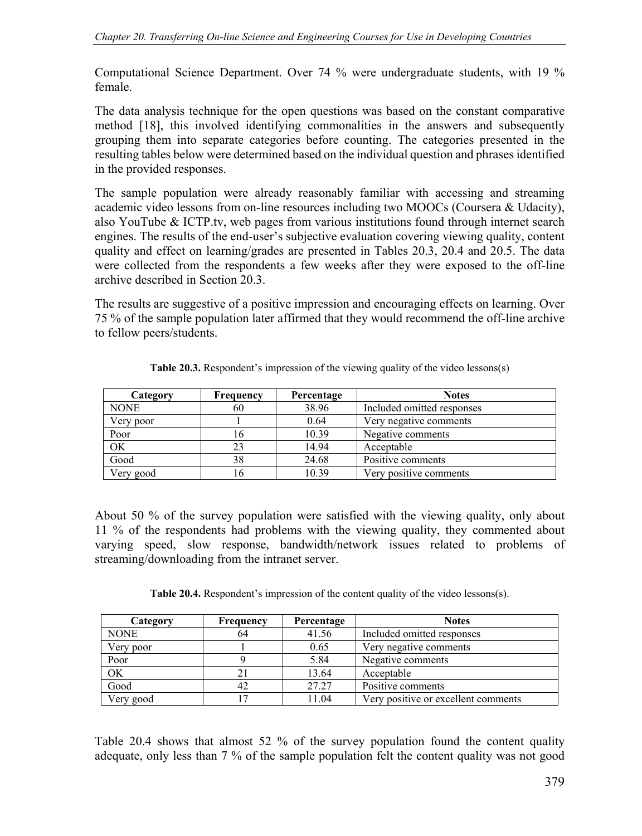Computational Science Department. Over 74 % were undergraduate students, with 19 % female.

The data analysis technique for the open questions was based on the constant comparative method [18], this involved identifying commonalities in the answers and subsequently grouping them into separate categories before counting. The categories presented in the resulting tables below were determined based on the individual question and phrases identified in the provided responses.

The sample population were already reasonably familiar with accessing and streaming academic video lessons from on-line resources including two MOOCs (Coursera & Udacity), also YouTube & ICTP.tv, web pages from various institutions found through internet search engines. The results of the end-user's subjective evaluation covering viewing quality, content quality and effect on learning/grades are presented in Tables 20.3, 20.4 and 20.5. The data were collected from the respondents a few weeks after they were exposed to the off-line archive described in Section 20.3.

The results are suggestive of a positive impression and encouraging effects on learning. Over 75 % of the sample population later affirmed that they would recommend the off-line archive to fellow peers/students.

| Category    | Frequency | Percentage | <b>Notes</b>               |
|-------------|-----------|------------|----------------------------|
| <b>NONE</b> | 60        | 38.96      | Included omitted responses |
| Very poor   |           | 0.64       | Very negative comments     |
| Poor        | 16        | 10.39      | Negative comments          |
| OK          | 23        | 14.94      | Acceptable                 |
| Good        | 38        | 24.68      | Positive comments          |
| Very good   | 16        | 10.39      | Very positive comments     |

**Table 20.3.** Respondent's impression of the viewing quality of the video lessons(s)

About 50 % of the survey population were satisfied with the viewing quality, only about 11 % of the respondents had problems with the viewing quality, they commented about varying speed, slow response, bandwidth/network issues related to problems of streaming/downloading from the intranet server.

**Table 20.4.** Respondent's impression of the content quality of the video lessons(s).

| Category    | Frequency | Percentage | <b>Notes</b>                        |
|-------------|-----------|------------|-------------------------------------|
| <b>NONE</b> | 64        | 41.56      | Included omitted responses          |
| Very poor   |           | 0.65       | Very negative comments              |
| Poor        |           | 5.84       | Negative comments                   |
| OK          |           | 13.64      | Acceptable                          |
| Good        |           | 27.27      | Positive comments                   |
| Very good   |           | 11.04      | Very positive or excellent comments |

Table 20.4 shows that almost 52 % of the survey population found the content quality adequate, only less than 7 % of the sample population felt the content quality was not good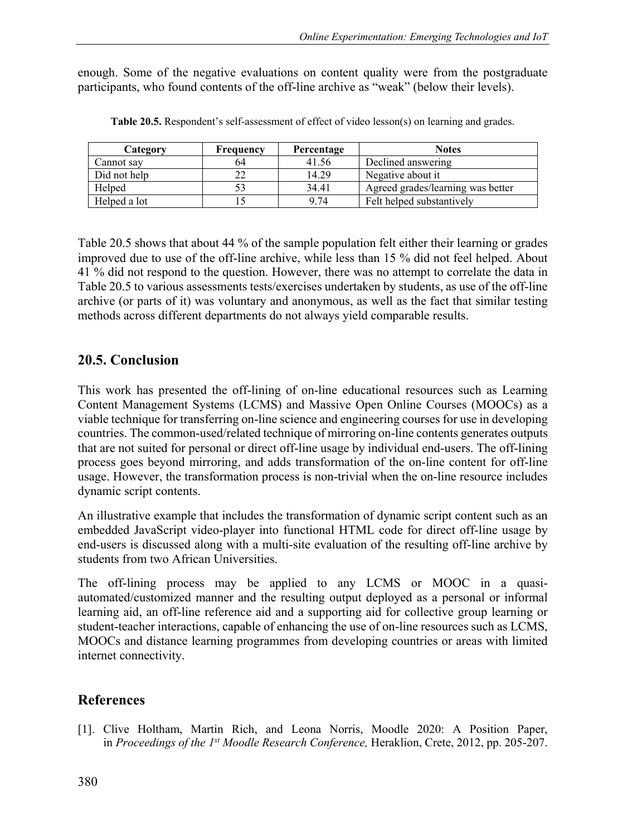enough. Some of the negative evaluations on content quality were from the postgraduate participants, who found contents of the off-line archive as "weak" (below their levels).

| Category     | Frequency | Percentage | <b>Notes</b>                      |
|--------------|-----------|------------|-----------------------------------|
| Cannot sav   | 64        | 41.56      | Declined answering                |
| Did not help |           | 14.29      | Negative about it.                |
| Helped       |           | 34.41      | Agreed grades/learning was better |
| Helped a lot |           | 9.74       | Felt helped substantively         |

**Table 20.5.** Respondent's self-assessment of effect of video lesson(s) on learning and grades.

Table 20.5 shows that about 44 % of the sample population felt either their learning or grades improved due to use of the off-line archive, while less than 15 % did not feel helped. About 41 % did not respond to the question. However, there was no attempt to correlate the data in Table 20.5 to various assessments tests/exercises undertaken by students, as use of the off-line archive (or parts of it) was voluntary and anonymous, as well as the fact that similar testing methods across different departments do not always yield comparable results.

# **20.5. Conclusion**

This work has presented the off-lining of on-line educational resources such as Learning Content Management Systems (LCMS) and Massive Open Online Courses (MOOCs) as a viable technique for transferring on-line science and engineering courses for use in developing countries. The common-used/related technique of mirroring on-line contents generates outputs that are not suited for personal or direct off-line usage by individual end-users. The off-lining process goes beyond mirroring, and adds transformation of the on-line content for off-line usage. However, the transformation process is non-trivial when the on-line resource includes dynamic script contents.

An illustrative example that includes the transformation of dynamic script content such as an embedded JavaScript video-player into functional HTML code for direct off-line usage by end-users is discussed along with a multi-site evaluation of the resulting off-line archive by students from two African Universities.

The off-lining process may be applied to any LCMS or MOOC in a quasiautomated/customized manner and the resulting output deployed as a personal or informal learning aid, an off-line reference aid and a supporting aid for collective group learning or student-teacher interactions, capable of enhancing the use of on-line resources such as LCMS, MOOCs and distance learning programmes from developing countries or areas with limited internet connectivity.

# **References**

[1]. Clive Holtham, Martin Rich, and Leona Norris, Moodle 2020: A Position Paper, in *Proceedings of the 1st Moodle Research Conference,* Heraklion, Crete, 2012, pp. 205-207.